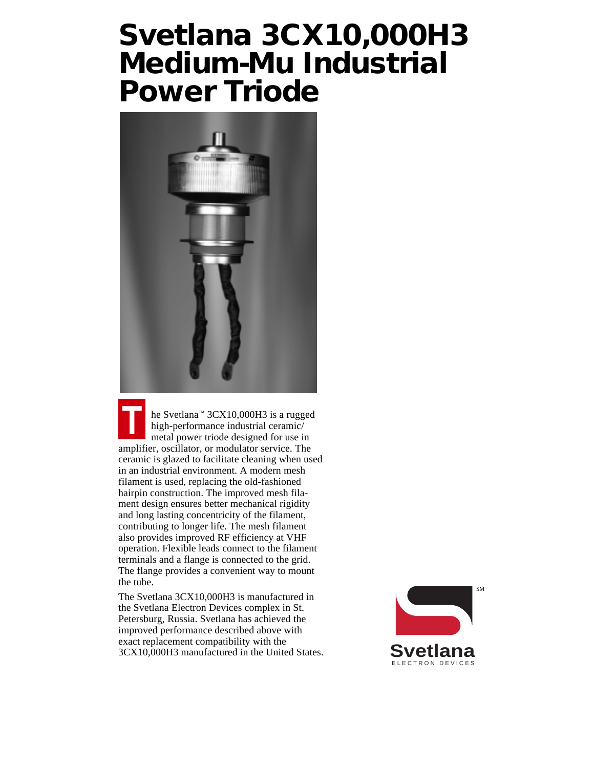### **Svetlana 3CX10,000H3 Medium-Mu Industrial Power Triode**



he Svetlana<sup>™</sup> 3CX10,000H3 is a rugged high-performance industrial ceramic/ metal power triode designed for use in amplifier, oscillator, or modulator service. The ceramic is glazed to facilitate cleaning when used in an industrial environment. A modern mesh filament is used, replacing the old-fashioned hairpin construction. The improved mesh filament design ensures better mechanical rigidity and long lasting concentricity of the filament, contributing to longer life. The mesh filament also provides improved RF efficiency at VHF operation. Flexible leads connect to the filament terminals and a flange is connected to the grid. The flange provides a convenient way to mount the tube.

The Svetlana 3CX10,000H3 is manufactured in the Svetlana Electron Devices complex in St. Petersburg, Russia. Svetlana has achieved the improved performance described above with exact replacement compatibility with the 3CX10,000H3 manufactured in the United States.

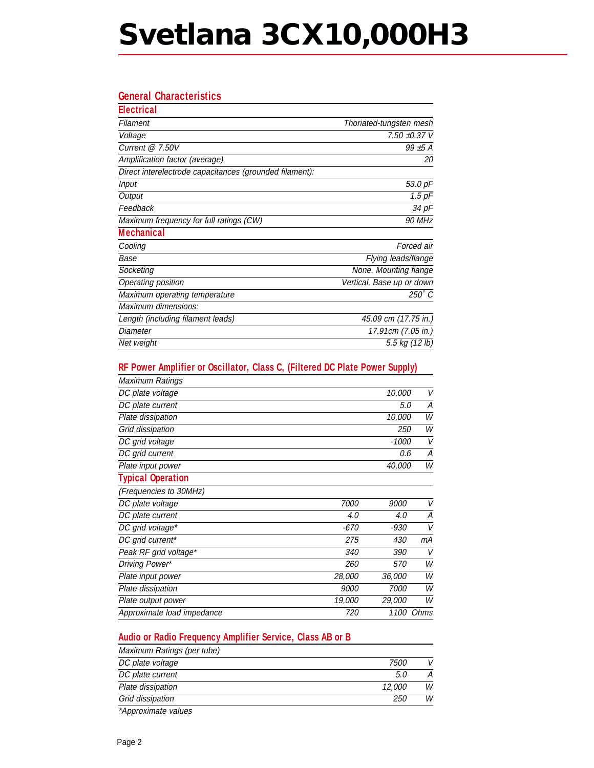# **Svetlana 3CX10,000H3**

### **General Characteristics**

| <b>Electrical</b>                                       |                           |
|---------------------------------------------------------|---------------------------|
| Filament                                                | Thoriated-tungsten mesh   |
| Voltage                                                 | 7.50 ±0.37 V              |
| Current $@7.50V$                                        | $99\pm5$ A                |
| Amplification factor (average)                          | 20                        |
| Direct interelectrode capacitances (grounded filament): |                           |
| <b>Input</b>                                            | 53.0 pF                   |
| Output                                                  | $1.5$ $pF$                |
| Feedback                                                | 34 pF                     |
| Maximum frequency for full ratings (CW)                 | 90 MHz                    |
| <b>Mechanical</b>                                       |                           |
| Cooling                                                 | Forced air                |
| Base                                                    | Flying leads/flange       |
| Socketing                                               | None. Mounting flange     |
| Operating position                                      | Vertical, Base up or down |
| Maximum operating temperature                           | $250^\circ C$             |
| Maximum dimensions:                                     |                           |
| Length (including filament leads)                       | 45.09 cm (17.75 in.)      |
| Diameter                                                | 17.91cm (7.05 in.)        |
| Net weight                                              | 5.5 kg (12 lb)            |

### **RF Power Amplifier or Oscillator, Class C, (Filtered DC Plate Power Supply)**

|             | 10,000        | V      |
|-------------|---------------|--------|
|             | 5.0           | A      |
|             | 10,000        | W      |
|             | <i>250</i>    | W      |
|             | $-1000$       | V      |
|             | 0.6           | А      |
|             | 40,000        | W      |
|             |               |        |
|             |               |        |
| 7000        | <i>9000</i>   | $\vee$ |
| 4.0         | 4.0           | А      |
| $-670$      | -930          | V      |
| 275         | 430           | mА     |
| 340         | 390           | V      |
| 260         | 570           | W      |
| 28,000      | 36,000        | W      |
| <i>9000</i> | 7000          | W      |
| 19,000      | <i>29.000</i> | W      |
| 720         | 1100          | Ohms   |
|             |               |        |

### **Audio or Radio Frequency Amplifier Service, Class AB or B**

| Maximum Ratings (per tube) |             |   |
|----------------------------|-------------|---|
| DC plate voltage           | <i>7500</i> |   |
| DC plate current           | 5.0         |   |
| Plate dissipation          | 12.000      | W |
| Grid dissipation           | 250         | W |
|                            |             |   |

\*Approximate values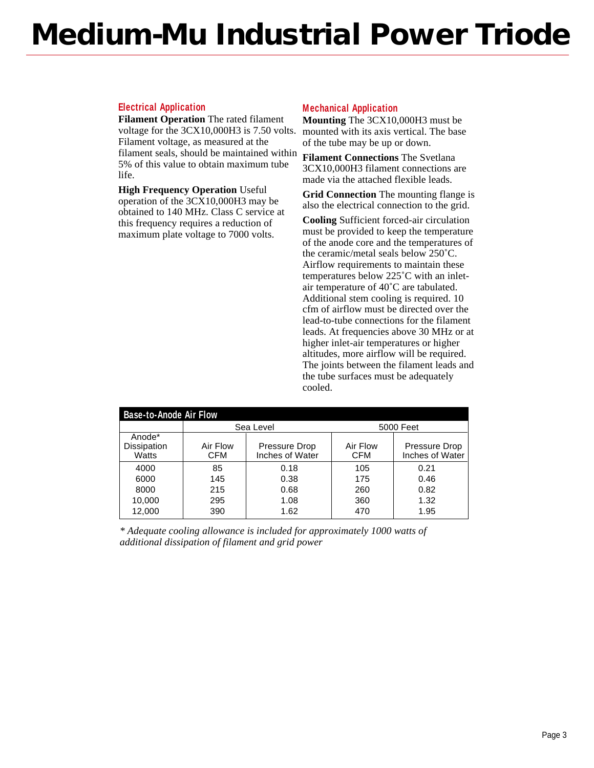## **Medium-Mu Industrial Power Triode**

### **Electrical Application**

**Filament Operation** The rated filament voltage for the 3CX10,000H3 is 7.50 volts. Filament voltage, as measured at the filament seals, should be maintained within 5% of this value to obtain maximum tube life.

**High Frequency Operation** Useful operation of the 3CX10,000H3 may be obtained to 140 MHz. Class C service at this frequency requires a reduction of maximum plate voltage to 7000 volts.

#### **Mechanical Application**

**Mounting** The 3CX10,000H3 must be mounted with its axis vertical. The base of the tube may be up or down.

**Filament Connections** The Svetlana 3CX10,000H3 filament connections are made via the attached flexible leads.

**Grid Connection** The mounting flange is also the electrical connection to the grid.

**Cooling** Sufficient forced-air circulation must be provided to keep the temperature of the anode core and the temperatures of the ceramic/metal seals below 250˚C. Airflow requirements to maintain these temperatures below 225˚C with an inletair temperature of 40˚C are tabulated. Additional stem cooling is required. 10 cfm of airflow must be directed over the lead-to-tube connections for the filament leads. At frequencies above 30 MHz or at higher inlet-air temperatures or higher altitudes, more airflow will be required. The joints between the filament leads and the tube surfaces must be adequately cooled.

| <b>Base-to-Anode Air Flow</b>  |                        |                                  |                        |                                  |  |
|--------------------------------|------------------------|----------------------------------|------------------------|----------------------------------|--|
|                                | Sea Level              |                                  | 5000 Feet              |                                  |  |
| Anode*<br>Dissipation<br>Watts | Air Flow<br><b>CFM</b> | Pressure Drop<br>Inches of Water | Air Flow<br><b>CFM</b> | Pressure Drop<br>Inches of Water |  |
| 4000                           | 85                     | 0.18                             | 105                    | 0.21                             |  |
| 6000                           | 145                    | 0.38                             | 175                    | 0.46                             |  |
| 8000                           | 215                    | 0.68                             | 260                    | 0.82                             |  |
| 10,000                         | 295                    | 1.08                             | 360                    | 1.32                             |  |
| 12,000                         | 390                    | 1.62                             | 470                    | 1.95                             |  |

*\* Adequate cooling allowance is included for approximately 1000 watts of additional dissipation of filament and grid power*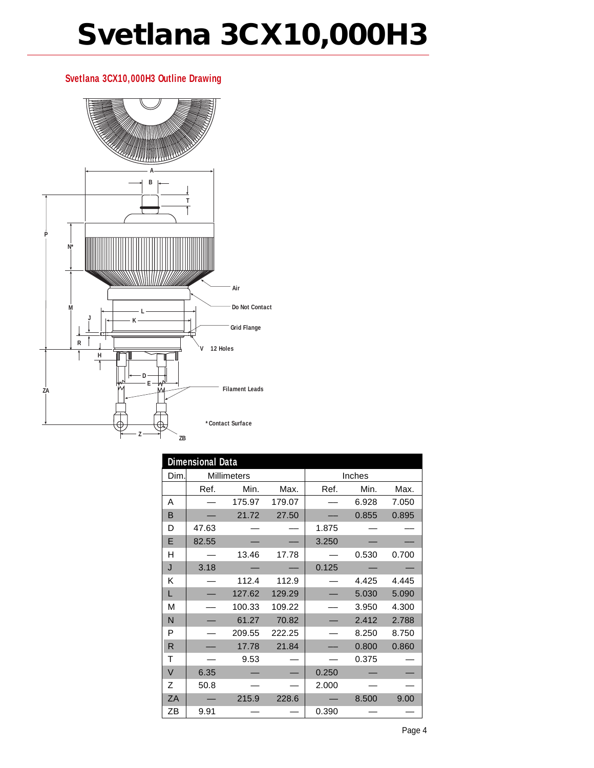# **Svetlana 3CX10,000H3**

### **Svetlana 3CX10,000H3 Outline Drawing**



|        | <b>Dimensional Data</b> |        |        |        |       |       |
|--------|-------------------------|--------|--------|--------|-------|-------|
| Dim.   | Millimeters             |        |        | Inches |       |       |
|        | Ref.                    | Min.   | Max.   | Ref.   | Min.  | Max.  |
| Α      |                         | 175.97 | 179.07 |        | 6.928 | 7.050 |
| B      |                         | 21.72  | 27.50  |        | 0.855 | 0.895 |
| D      | 47.63                   |        |        | 1.875  |       |       |
| E      | 82.55                   |        |        | 3.250  |       |       |
| н      |                         | 13.46  | 17.78  |        | 0.530 | 0.700 |
| J      | 3.18                    |        |        | 0.125  |       |       |
| Κ      |                         | 112.4  | 112.9  |        | 4.425 | 4.445 |
| L      |                         | 127.62 | 129.29 |        | 5.030 | 5.090 |
| M      |                         | 100.33 | 109.22 |        | 3.950 | 4.300 |
| N      |                         | 61.27  | 70.82  |        | 2.412 | 2.788 |
| P      |                         | 209.55 | 222.25 |        | 8.250 | 8.750 |
| R      |                         | 17.78  | 21.84  |        | 0.800 | 0.860 |
| т      |                         | 9.53   |        |        | 0.375 |       |
| $\vee$ | 6.35                    |        |        | 0.250  |       |       |
| Z      | 50.8                    |        |        | 2.000  |       |       |
| ZA     |                         | 215.9  | 228.6  |        | 8.500 | 9.00  |
| ΖB     | 9.91                    |        |        | 0.390  |       |       |